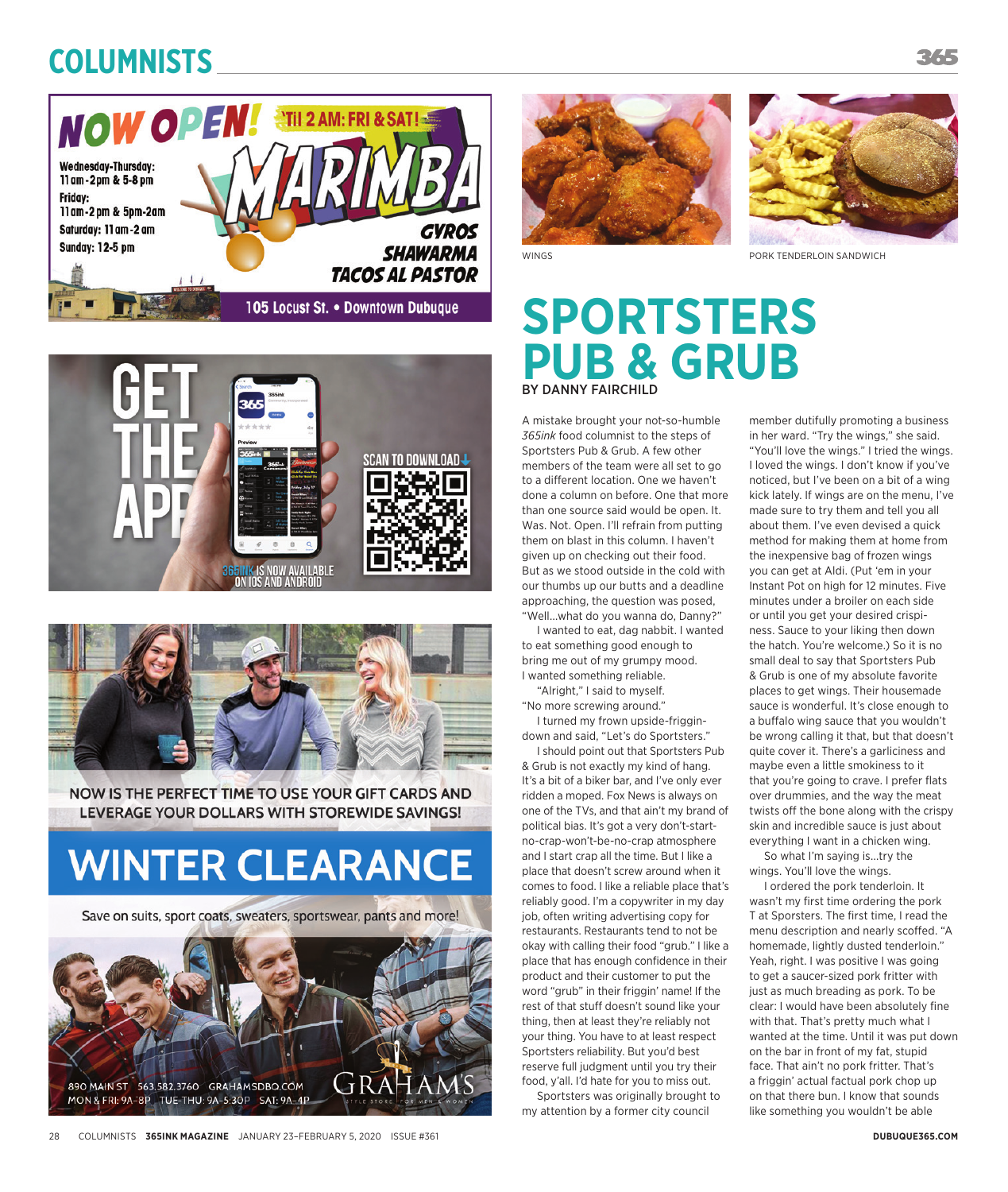### **Columnists**







NOW IS THE PERFECT TIME TO USE YOUR GIFT CARDS AND LEVERAGE YOUR DOLLARS WITH STOREWIDE SAVINGS!

# **WINTER CLEARANCE**

Save on suits, sport coats, sweaters, sportswear, pants and more!







## **SPORTSTERS PUB & GRUB** BY DANNY FAIRCHILD

A mistake brought your not-so-humble *365ink* food columnist to the steps of Sportsters Pub & Grub. A few other members of the team were all set to go to a different location. One we haven't done a column on before. One that more than one source said would be open. It. Was. Not. Open. I'll refrain from putting them on blast in this column. I haven't given up on checking out their food. But as we stood outside in the cold with our thumbs up our butts and a deadline approaching, the question was posed, "Well...what do you wanna do, Danny?"

I wanted to eat, dag nabbit. I wanted to eat something good enough to bring me out of my grumpy mood. I wanted something reliable.

"Alright," I said to myself. "No more screwing around."

I turned my frown upside-friggindown and said, "Let's do Sportsters."

I should point out that Sportsters Pub & Grub is not exactly my kind of hang. It's a bit of a biker bar, and I've only ever ridden a moped. Fox News is always on one of the TVs, and that ain't my brand of political bias. It's got a very don't-startno-crap-won't-be-no-crap atmosphere and I start crap all the time. But I like a place that doesn't screw around when it comes to food. I like a reliable place that's reliably good. I'm a copywriter in my day job, often writing advertising copy for restaurants. Restaurants tend to not be okay with calling their food "grub." I like a place that has enough confidence in their product and their customer to put the word "grub" in their friggin' name! If the rest of that stuff doesn't sound like your thing, then at least they're reliably not your thing. You have to at least respect Sportsters reliability. But you'd best reserve full judgment until you try their food, y'all. I'd hate for you to miss out.

Sportsters was originally brought to my attention by a former city council

member dutifully promoting a business in her ward. "Try the wings," she said. "You'll love the wings." I tried the wings. I loved the wings. I don't know if you've noticed, but I've been on a bit of a wing kick lately. If wings are on the menu, I've made sure to try them and tell you all about them. I've even devised a quick method for making them at home from the inexpensive bag of frozen wings you can get at Aldi. (Put 'em in your Instant Pot on high for 12 minutes. Five minutes under a broiler on each side or until you get your desired crispiness. Sauce to your liking then down the hatch. You're welcome.) So it is no small deal to say that Sportsters Pub & Grub is one of my absolute favorite places to get wings. Their housemade sauce is wonderful. It's close enough to a buffalo wing sauce that you wouldn't be wrong calling it that, but that doesn't quite cover it. There's a garliciness and maybe even a little smokiness to it that you're going to crave. I prefer flats over drummies, and the way the meat twists off the bone along with the crispy skin and incredible sauce is just about everything I want in a chicken wing.

So what I'm saying is...try the wings. You'll love the wings.

I ordered the pork tenderloin. It wasn't my first time ordering the pork T at Sporsters. The first time, I read the menu description and nearly scoffed. "A homemade, lightly dusted tenderloin." Yeah, right. I was positive I was going to get a saucer-sized pork fritter with just as much breading as pork. To be clear: I would have been absolutely fine with that. That's pretty much what I wanted at the time. Until it was put down on the bar in front of my fat, stupid face. That ain't no pork fritter. That's a friggin' actual factual pork chop up on that there bun. I know that sounds like something you wouldn't be able